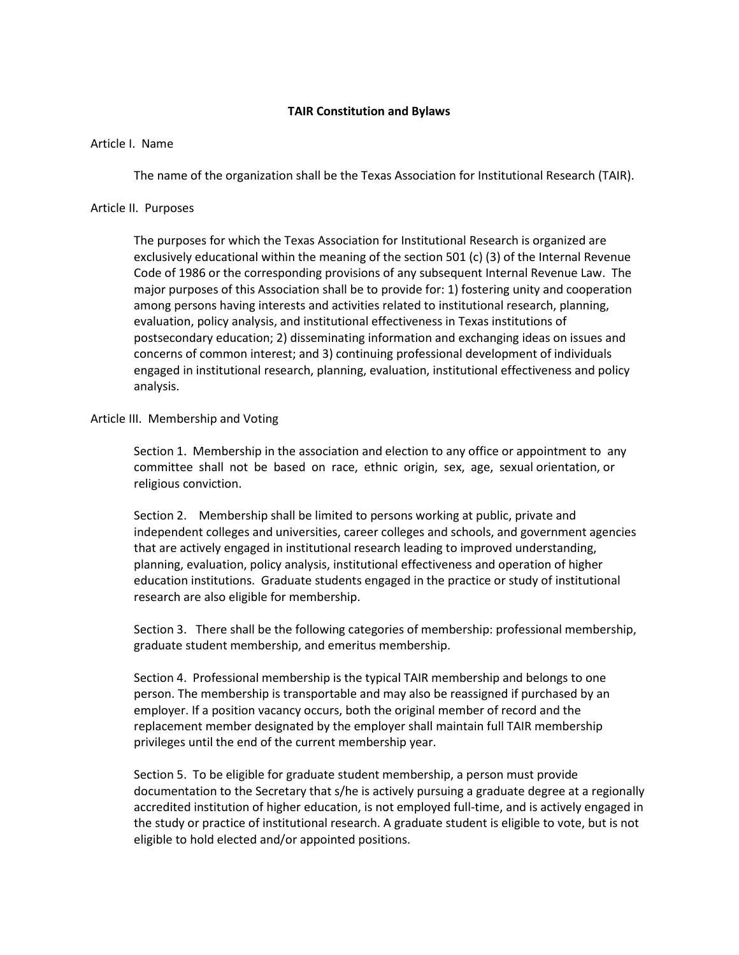# **TAIR Constitution and Bylaws**

# Article I. Name

The name of the organization shall be the Texas Association for Institutional Research (TAIR).

# Article II. Purposes

The purposes for which the Texas Association for Institutional Research is organized are exclusively educational within the meaning of the section 501 (c) (3) of the Internal Revenue Code of 1986 or the corresponding provisions of any subsequent Internal Revenue Law. The major purposes of this Association shall be to provide for: 1) fostering unity and cooperation among persons having interests and activities related to institutional research, planning, evaluation, policy analysis, and institutional effectiveness in Texas institutions of postsecondary education; 2) disseminating information and exchanging ideas on issues and concerns of common interest; and 3) continuing professional development of individuals engaged in institutional research, planning, evaluation, institutional effectiveness and policy analysis.

# Article III. Membership and Voting

Section 1. Membership in the association and election to any office or appointment to any committee shall not be based on race, ethnic origin, sex, age, sexual orientation, or religious conviction.

Section 2. Membership shall be limited to persons working at public, private and independent colleges and universities, career colleges and schools, and government agencies that are actively engaged in institutional research leading to improved understanding, planning, evaluation, policy analysis, institutional effectiveness and operation of higher education institutions. Graduate students engaged in the practice or study of institutional research are also eligible for membership.

Section 3. There shall be the following categories of membership: professional membership, graduate student membership, and emeritus membership.

Section 4. Professional membership is the typical TAIR membership and belongs to one person. The membership is transportable and may also be reassigned if purchased by an employer. If a position vacancy occurs, both the original member of record and the replacement member designated by the employer shall maintain full TAIR membership privileges until the end of the current membership year.

Section 5. To be eligible for graduate student membership, a person must provide documentation to the Secretary that s/he is actively pursuing a graduate degree at a regionally accredited institution of higher education, is not employed full-time, and is actively engaged in the study or practice of institutional research. A graduate student is eligible to vote, but is not eligible to hold elected and/or appointed positions.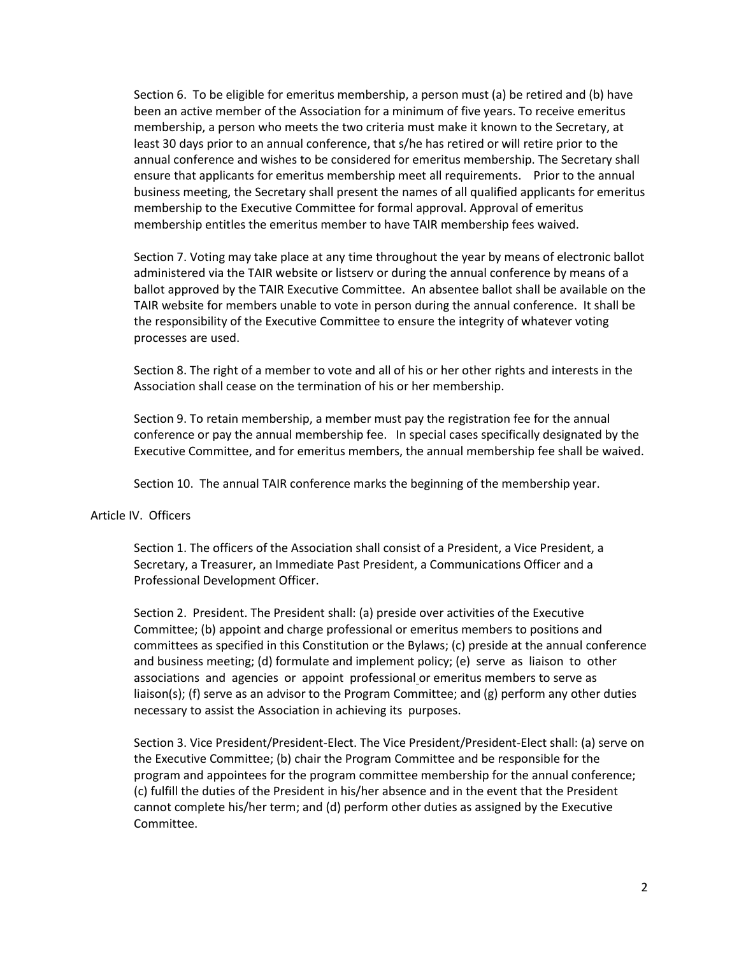Section 6. To be eligible for emeritus membership, a person must (a) be retired and (b) have been an active member of the Association for a minimum of five years. To receive emeritus membership, a person who meets the two criteria must make it known to the Secretary, at least 30 days prior to an annual conference, that s/he has retired or will retire prior to the annual conference and wishes to be considered for emeritus membership. The Secretary shall ensure that applicants for emeritus membership meet all requirements. Prior to the annual business meeting, the Secretary shall present the names of all qualified applicants for emeritus membership to the Executive Committee for formal approval. Approval of emeritus membership entitles the emeritus member to have TAIR membership fees waived.

Section 7. Voting may take place at any time throughout the year by means of electronic ballot administered via the TAIR website or listserv or during the annual conference by means of a ballot approved by the TAIR Executive Committee. An absentee ballot shall be available on the TAIR website for members unable to vote in person during the annual conference. It shall be the responsibility of the Executive Committee to ensure the integrity of whatever voting processes are used.

Section 8. The right of a member to vote and all of his or her other rights and interests in the Association shall cease on the termination of his or her membership.

Section 9. To retain membership, a member must pay the registration fee for the annual conference or pay the annual membership fee. In special cases specifically designated by the Executive Committee, and for emeritus members, the annual membership fee shall be waived.

Section 10. The annual TAIR conference marks the beginning of the membership year.

# Article IV. Officers

Section 1. The officers of the Association shall consist of a President, a Vice President, a Secretary, a Treasurer, an Immediate Past President, a Communications Officer and a Professional Development Officer.

Section 2. President. The President shall: (a) preside over activities of the Executive Committee; (b) appoint and charge professional or emeritus members to positions and committees as specified in this Constitution or the Bylaws; (c) preside at the annual conference and business meeting; (d) formulate and implement policy; (e) serve as liaison to other associations and agencies or appoint professional or emeritus members to serve as liaison(s); (f) serve as an advisor to the Program Committee; and (g) perform any other duties necessary to assist the Association in achieving its purposes.

Section 3. Vice President/President-Elect. The Vice President/President-Elect shall: (a) serve on the Executive Committee; (b) chair the Program Committee and be responsible for the program and appointees for the program committee membership for the annual conference; (c) fulfill the duties of the President in his/her absence and in the event that the President cannot complete his/her term; and (d) perform other duties as assigned by the Executive Committee.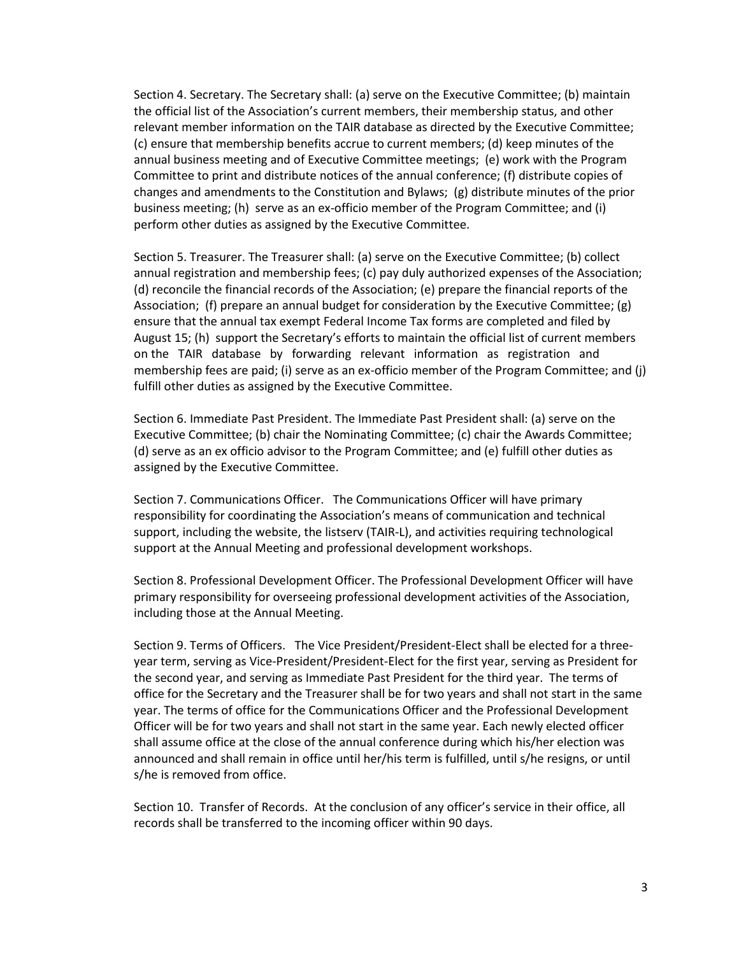Section 4. Secretary. The Secretary shall: (a) serve on the Executive Committee; (b) maintain the official list of the Association's current members, their membership status, and other relevant member information on the TAIR database as directed by the Executive Committee; (c) ensure that membership benefits accrue to current members; (d) keep minutes of the annual business meeting and of Executive Committee meetings; (e) work with the Program Committee to print and distribute notices of the annual conference; (f) distribute copies of changes and amendments to the Constitution and Bylaws; (g) distribute minutes of the prior business meeting; (h) serve as an ex-officio member of the Program Committee; and (i) perform other duties as assigned by the Executive Committee.

Section 5. Treasurer. The Treasurer shall: (a) serve on the Executive Committee; (b) collect annual registration and membership fees; (c) pay duly authorized expenses of the Association; (d) reconcile the financial records of the Association; (e) prepare the financial reports of the Association; (f) prepare an annual budget for consideration by the Executive Committee; (g) ensure that the annual tax exempt Federal Income Tax forms are completed and filed by August 15; (h) support the Secretary's efforts to maintain the official list of current members on the TAIR database by forwarding relevant information as registration and membership fees are paid; (i) serve as an ex-officio member of the Program Committee; and (j) fulfill other duties as assigned by the Executive Committee.

Section 6. Immediate Past President. The Immediate Past President shall: (a) serve on the Executive Committee; (b) chair the Nominating Committee; (c) chair the Awards Committee; (d) serve as an ex officio advisor to the Program Committee; and (e) fulfill other duties as assigned by the Executive Committee.

Section 7. Communications Officer. The Communications Officer will have primary responsibility for coordinating the Association's means of communication and technical support, including the website, the listserv (TAIR-L), and activities requiring technological support at the Annual Meeting and professional development workshops.

Section 8. Professional Development Officer. The Professional Development Officer will have primary responsibility for overseeing professional development activities of the Association, including those at the Annual Meeting.

Section 9. Terms of Officers. The Vice President/President-Elect shall be elected for a threeyear term, serving as Vice-President/President-Elect for the first year, serving as President for the second year, and serving as Immediate Past President for the third year. The terms of office for the Secretary and the Treasurer shall be for two years and shall not start in the same year. The terms of office for the Communications Officer and the Professional Development Officer will be for two years and shall not start in the same year. Each newly elected officer shall assume office at the close of the annual conference during which his/her election was announced and shall remain in office until her/his term is fulfilled, until s/he resigns, or until s/he is removed from office.

Section 10. Transfer of Records. At the conclusion of any officer's service in their office, all records shall be transferred to the incoming officer within 90 days.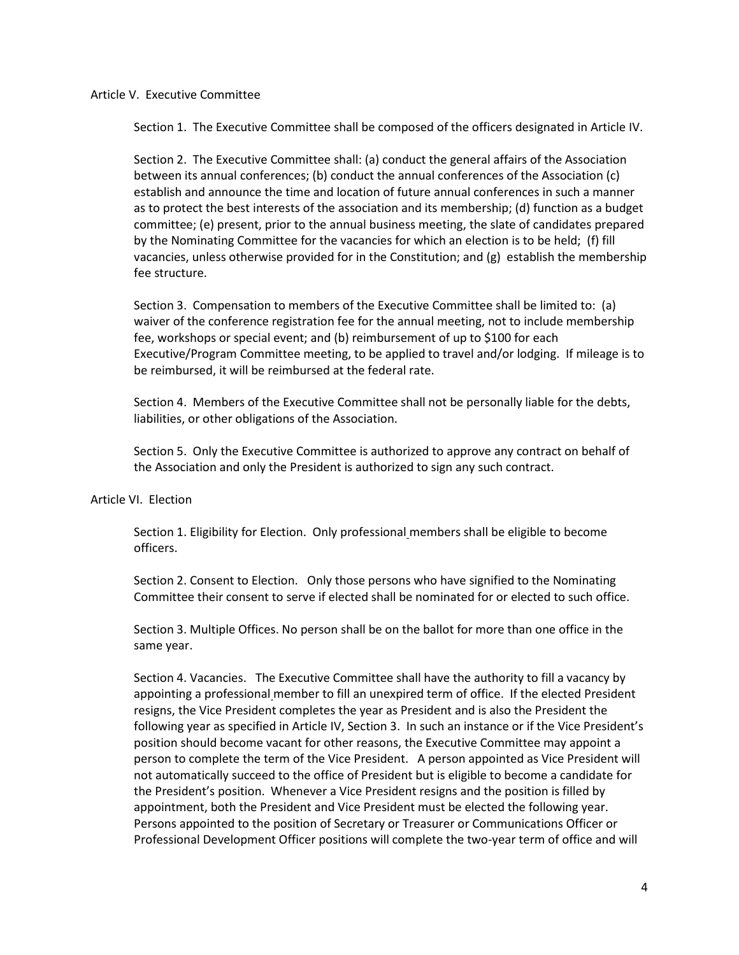#### Article V. Executive Committee

Section 1. The Executive Committee shall be composed of the officers designated in Article IV.

Section 2. The Executive Committee shall: (a) conduct the general affairs of the Association between its annual conferences; (b) conduct the annual conferences of the Association (c) establish and announce the time and location of future annual conferences in such a manner as to protect the best interests of the association and its membership; (d) function as a budget committee; (e) present, prior to the annual business meeting, the slate of candidates prepared by the Nominating Committee for the vacancies for which an election is to be held; (f) fill vacancies, unless otherwise provided for in the Constitution; and (g) establish the membership fee structure.

Section 3. Compensation to members of the Executive Committee shall be limited to: (a) waiver of the conference registration fee for the annual meeting, not to include membership fee, workshops or special event; and (b) reimbursement of up to \$100 for each Executive/Program Committee meeting, to be applied to travel and/or lodging. If mileage is to be reimbursed, it will be reimbursed at the federal rate.

Section 4. Members of the Executive Committee shall not be personally liable for the debts, liabilities, or other obligations of the Association.

Section 5. Only the Executive Committee is authorized to approve any contract on behalf of the Association and only the President is authorized to sign any such contract.

# Article VI. Election

Section 1. Eligibility for Election. Only professional members shall be eligible to become officers.

Section 2. Consent to Election. Only those persons who have signified to the Nominating Committee their consent to serve if elected shall be nominated for or elected to such office.

Section 3. Multiple Offices. No person shall be on the ballot for more than one office in the same year.

Section 4. Vacancies. The Executive Committee shall have the authority to fill a vacancy by appointing a professional member to fill an unexpired term of office. If the elected President resigns, the Vice President completes the year as President and is also the President the following year as specified in Article IV, Section 3. In such an instance or if the Vice President's position should become vacant for other reasons, the Executive Committee may appoint a person to complete the term of the Vice President. A person appointed as Vice President will not automatically succeed to the office of President but is eligible to become a candidate for the President's position. Whenever a Vice President resigns and the position is filled by appointment, both the President and Vice President must be elected the following year. Persons appointed to the position of Secretary or Treasurer or Communications Officer or Professional Development Officer positions will complete the two-year term of office and will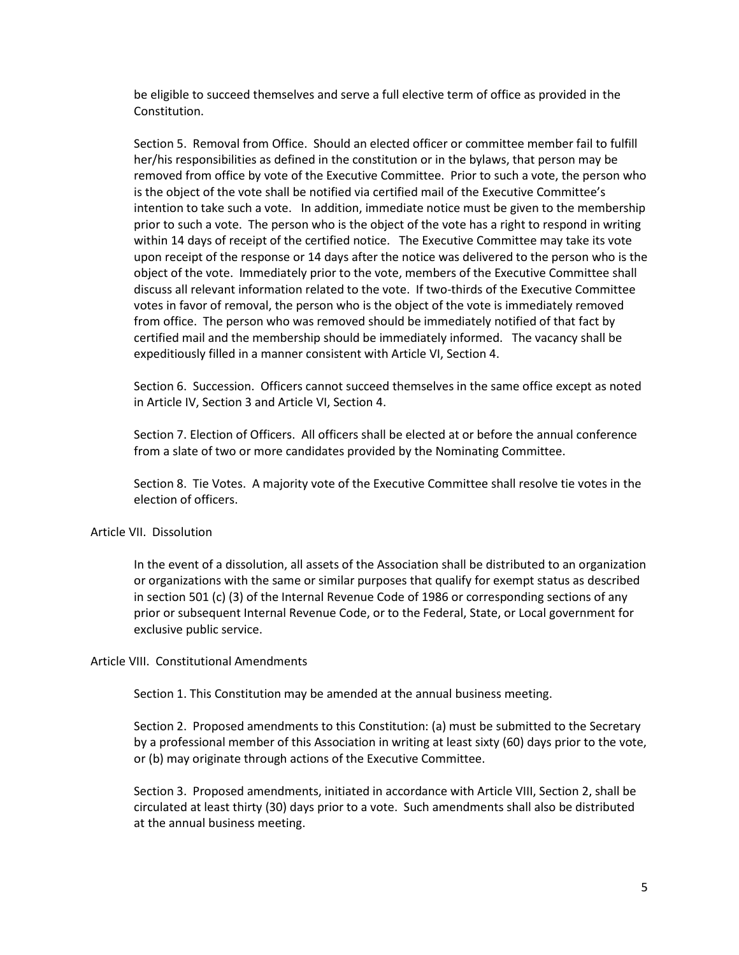be eligible to succeed themselves and serve a full elective term of office as provided in the Constitution.

Section 5. Removal from Office. Should an elected officer or committee member fail to fulfill her/his responsibilities as defined in the constitution or in the bylaws, that person may be removed from office by vote of the Executive Committee. Prior to such a vote, the person who is the object of the vote shall be notified via certified mail of the Executive Committee's intention to take such a vote. In addition, immediate notice must be given to the membership prior to such a vote. The person who is the object of the vote has a right to respond in writing within 14 days of receipt of the certified notice. The Executive Committee may take its vote upon receipt of the response or 14 days after the notice was delivered to the person who is the object of the vote. Immediately prior to the vote, members of the Executive Committee shall discuss all relevant information related to the vote. If two-thirds of the Executive Committee votes in favor of removal, the person who is the object of the vote is immediately removed from office. The person who was removed should be immediately notified of that fact by certified mail and the membership should be immediately informed. The vacancy shall be expeditiously filled in a manner consistent with Article VI, Section 4.

Section 6. Succession. Officers cannot succeed themselves in the same office except as noted in Article IV, Section 3 and Article VI, Section 4.

Section 7. Election of Officers. All officers shall be elected at or before the annual conference from a slate of two or more candidates provided by the Nominating Committee.

Section 8. Tie Votes. A majority vote of the Executive Committee shall resolve tie votes in the election of officers.

# Article VII. Dissolution

In the event of a dissolution, all assets of the Association shall be distributed to an organization or organizations with the same or similar purposes that qualify for exempt status as described in section 501 (c) (3) of the Internal Revenue Code of 1986 or corresponding sections of any prior or subsequent Internal Revenue Code, or to the Federal, State, or Local government for exclusive public service.

# Article VIII. Constitutional Amendments

Section 1. This Constitution may be amended at the annual business meeting.

Section 2. Proposed amendments to this Constitution: (a) must be submitted to the Secretary by a professional member of this Association in writing at least sixty (60) days prior to the vote, or (b) may originate through actions of the Executive Committee.

Section 3. Proposed amendments, initiated in accordance with Article VIII, Section 2, shall be circulated at least thirty (30) days prior to a vote. Such amendments shall also be distributed at the annual business meeting.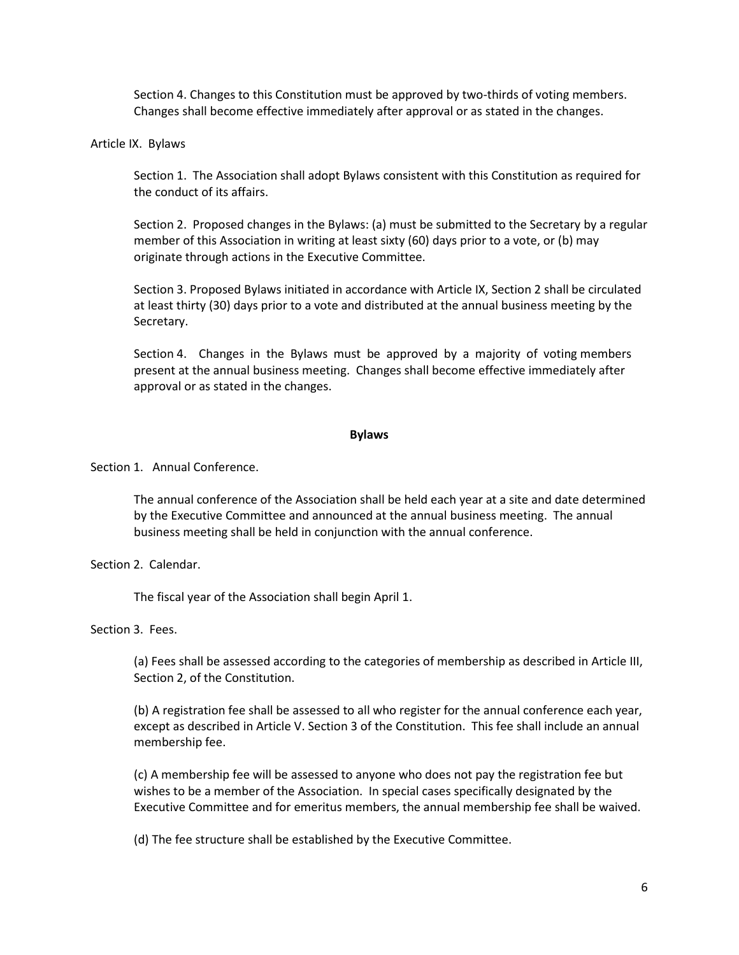Section 4. Changes to this Constitution must be approved by two-thirds of voting members. Changes shall become effective immediately after approval or as stated in the changes.

Article IX. Bylaws

Section 1. The Association shall adopt Bylaws consistent with this Constitution as required for the conduct of its affairs.

Section 2. Proposed changes in the Bylaws: (a) must be submitted to the Secretary by a regular member of this Association in writing at least sixty (60) days prior to a vote, or (b) may originate through actions in the Executive Committee.

Section 3. Proposed Bylaws initiated in accordance with Article IX, Section 2 shall be circulated at least thirty (30) days prior to a vote and distributed at the annual business meeting by the Secretary.

Section 4. Changes in the Bylaws must be approved by a majority of voting members present at the annual business meeting. Changes shall become effective immediately after approval or as stated in the changes.

#### **Bylaws**

Section 1. Annual Conference.

The annual conference of the Association shall be held each year at a site and date determined by the Executive Committee and announced at the annual business meeting. The annual business meeting shall be held in conjunction with the annual conference.

Section 2. Calendar.

The fiscal year of the Association shall begin April 1.

Section 3. Fees.

(a) Fees shall be assessed according to the categories of membership as described in Article III, Section 2, of the Constitution.

(b) A registration fee shall be assessed to all who register for the annual conference each year, except as described in Article V. Section 3 of the Constitution. This fee shall include an annual membership fee.

(c) A membership fee will be assessed to anyone who does not pay the registration fee but wishes to be a member of the Association. In special cases specifically designated by the Executive Committee and for emeritus members, the annual membership fee shall be waived.

(d) The fee structure shall be established by the Executive Committee.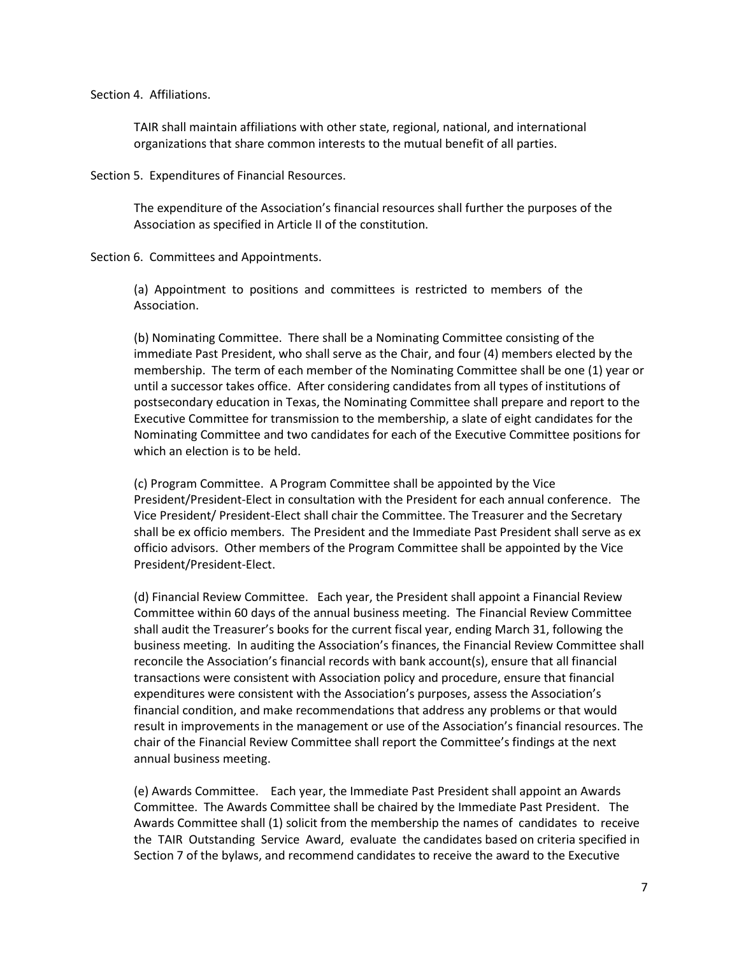#### Section 4. Affiliations.

TAIR shall maintain affiliations with other state, regional, national, and international organizations that share common interests to the mutual benefit of all parties.

Section 5. Expenditures of Financial Resources.

The expenditure of the Association's financial resources shall further the purposes of the Association as specified in Article II of the constitution.

Section 6. Committees and Appointments.

(a) Appointment to positions and committees is restricted to members of the Association.

(b) Nominating Committee. There shall be a Nominating Committee consisting of the immediate Past President, who shall serve as the Chair, and four (4) members elected by the membership. The term of each member of the Nominating Committee shall be one (1) year or until a successor takes office. After considering candidates from all types of institutions of postsecondary education in Texas, the Nominating Committee shall prepare and report to the Executive Committee for transmission to the membership, a slate of eight candidates for the Nominating Committee and two candidates for each of the Executive Committee positions for which an election is to be held.

(c) Program Committee. A Program Committee shall be appointed by the Vice President/President-Elect in consultation with the President for each annual conference. The Vice President/ President-Elect shall chair the Committee. The Treasurer and the Secretary shall be ex officio members. The President and the Immediate Past President shall serve as ex officio advisors. Other members of the Program Committee shall be appointed by the Vice President/President-Elect.

(d) Financial Review Committee. Each year, the President shall appoint a Financial Review Committee within 60 days of the annual business meeting. The Financial Review Committee shall audit the Treasurer's books for the current fiscal year, ending March 31, following the business meeting. In auditing the Association's finances, the Financial Review Committee shall reconcile the Association's financial records with bank account(s), ensure that all financial transactions were consistent with Association policy and procedure, ensure that financial expenditures were consistent with the Association's purposes, assess the Association's financial condition, and make recommendations that address any problems or that would result in improvements in the management or use of the Association's financial resources. The chair of the Financial Review Committee shall report the Committee's findings at the next annual business meeting.

(e) Awards Committee. Each year, the Immediate Past President shall appoint an Awards Committee. The Awards Committee shall be chaired by the Immediate Past President. The Awards Committee shall (1) solicit from the membership the names of candidates to receive the TAIR Outstanding Service Award, evaluate the candidates based on criteria specified in Section 7 of the bylaws, and recommend candidates to receive the award to the Executive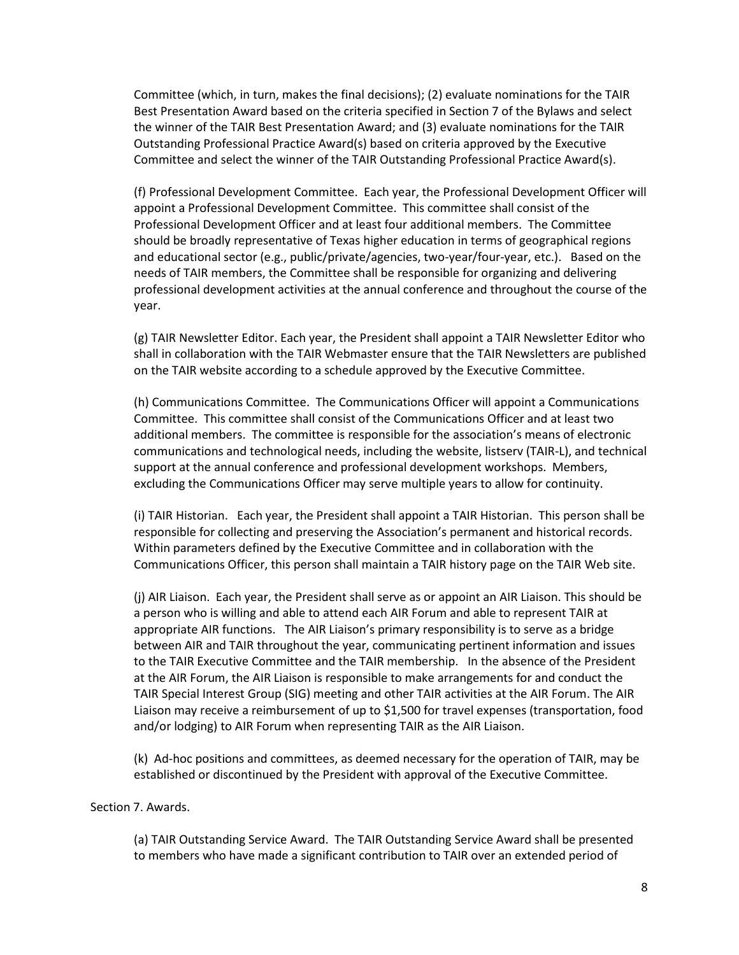Committee (which, in turn, makes the final decisions); (2) evaluate nominations for the TAIR Best Presentation Award based on the criteria specified in Section 7 of the Bylaws and select the winner of the TAIR Best Presentation Award; and (3) evaluate nominations for the TAIR Outstanding Professional Practice Award(s) based on criteria approved by the Executive Committee and select the winner of the TAIR Outstanding Professional Practice Award(s).

(f) Professional Development Committee. Each year, the Professional Development Officer will appoint a Professional Development Committee. This committee shall consist of the Professional Development Officer and at least four additional members. The Committee should be broadly representative of Texas higher education in terms of geographical regions and educational sector (e.g., public/private/agencies, two-year/four-year, etc.). Based on the needs of TAIR members, the Committee shall be responsible for organizing and delivering professional development activities at the annual conference and throughout the course of the year.

(g) TAIR Newsletter Editor. Each year, the President shall appoint a TAIR Newsletter Editor who shall in collaboration with the TAIR Webmaster ensure that the TAIR Newsletters are published on the TAIR website according to a schedule approved by the Executive Committee.

(h) Communications Committee. The Communications Officer will appoint a Communications Committee. This committee shall consist of the Communications Officer and at least two additional members. The committee is responsible for the association's means of electronic communications and technological needs, including the website, listserv (TAIR-L), and technical support at the annual conference and professional development workshops. Members, excluding the Communications Officer may serve multiple years to allow for continuity.

(i) TAIR Historian. Each year, the President shall appoint a TAIR Historian. This person shall be responsible for collecting and preserving the Association's permanent and historical records. Within parameters defined by the Executive Committee and in collaboration with the Communications Officer, this person shall maintain a TAIR history page on the TAIR Web site.

(j) AIR Liaison. Each year, the President shall serve as or appoint an AIR Liaison. This should be a person who is willing and able to attend each AIR Forum and able to represent TAIR at appropriate AIR functions. The AIR Liaison's primary responsibility is to serve as a bridge between AIR and TAIR throughout the year, communicating pertinent information and issues to the TAIR Executive Committee and the TAIR membership. In the absence of the President at the AIR Forum, the AIR Liaison is responsible to make arrangements for and conduct the TAIR Special Interest Group (SIG) meeting and other TAIR activities at the AIR Forum. The AIR Liaison may receive a reimbursement of up to \$1,500 for travel expenses (transportation, food and/or lodging) to AIR Forum when representing TAIR as the AIR Liaison.

(k) Ad-hoc positions and committees, as deemed necessary for the operation of TAIR, may be established or discontinued by the President with approval of the Executive Committee.

#### Section 7. Awards.

(a) TAIR Outstanding Service Award. The TAIR Outstanding Service Award shall be presented to members who have made a significant contribution to TAIR over an extended period of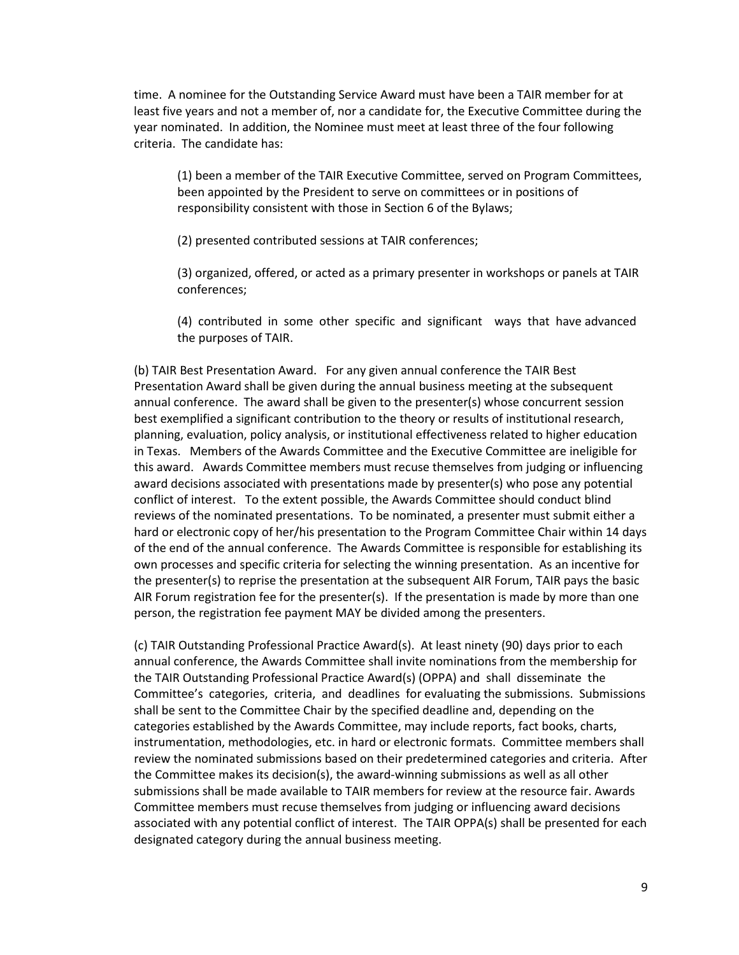time. A nominee for the Outstanding Service Award must have been a TAIR member for at least five years and not a member of, nor a candidate for, the Executive Committee during the year nominated. In addition, the Nominee must meet at least three of the four following criteria. The candidate has:

(1) been a member of the TAIR Executive Committee, served on Program Committees, been appointed by the President to serve on committees or in positions of responsibility consistent with those in Section 6 of the Bylaws;

(2) presented contributed sessions at TAIR conferences;

(3) organized, offered, or acted as a primary presenter in workshops or panels at TAIR conferences;

(4) contributed in some other specific and significant ways that have advanced the purposes of TAIR.

(b) TAIR Best Presentation Award. For any given annual conference the TAIR Best Presentation Award shall be given during the annual business meeting at the subsequent annual conference. The award shall be given to the presenter(s) whose concurrent session best exemplified a significant contribution to the theory or results of institutional research, planning, evaluation, policy analysis, or institutional effectiveness related to higher education in Texas. Members of the Awards Committee and the Executive Committee are ineligible for this award. Awards Committee members must recuse themselves from judging or influencing award decisions associated with presentations made by presenter(s) who pose any potential conflict of interest. To the extent possible, the Awards Committee should conduct blind reviews of the nominated presentations. To be nominated, a presenter must submit either a hard or electronic copy of her/his presentation to the Program Committee Chair within 14 days of the end of the annual conference. The Awards Committee is responsible for establishing its own processes and specific criteria for selecting the winning presentation. As an incentive for the presenter(s) to reprise the presentation at the subsequent AIR Forum, TAIR pays the basic AIR Forum registration fee for the presenter(s). If the presentation is made by more than one person, the registration fee payment MAY be divided among the presenters.

(c) TAIR Outstanding Professional Practice Award(s). At least ninety (90) days prior to each annual conference, the Awards Committee shall invite nominations from the membership for the TAIR Outstanding Professional Practice Award(s) (OPPA) and shall disseminate the Committee's categories, criteria, and deadlines for evaluating the submissions. Submissions shall be sent to the Committee Chair by the specified deadline and, depending on the categories established by the Awards Committee, may include reports, fact books, charts, instrumentation, methodologies, etc. in hard or electronic formats. Committee members shall review the nominated submissions based on their predetermined categories and criteria. After the Committee makes its decision(s), the award-winning submissions as well as all other submissions shall be made available to TAIR members for review at the resource fair. Awards Committee members must recuse themselves from judging or influencing award decisions associated with any potential conflict of interest. The TAIR OPPA(s) shall be presented for each designated category during the annual business meeting.